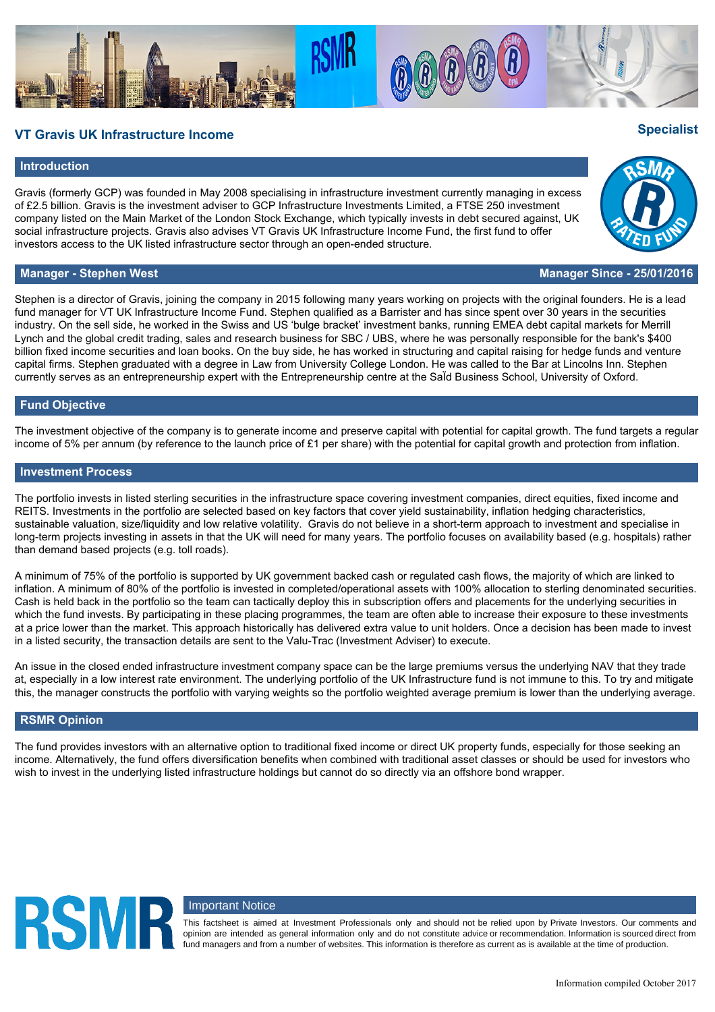## **VT Gravis UK Infrastructure Income Specialist**

#### **Introduction**

Gravis (formerly GCP) was founded in May 2008 specialising in infrastructure investment currently managing in excess of £2.5 billion. Gravis is the investment adviser to GCP Infrastructure Investments Limited, a FTSE 250 investment company listed on the Main Market of the London Stock Exchange, which typically invests in debt secured against, UK social infrastructure projects. Gravis also advises VT Gravis UK Infrastructure Income Fund, the first fund to offer investors access to the UK listed infrastructure sector through an open-ended structure.

Stephen is a director of Gravis, joining the company in 2015 following many years working on projects with the original founders. He is a lead fund manager for VT UK Infrastructure Income Fund. Stephen qualified as a Barrister and has since spent over 30 years in the securities industry. On the sell side, he worked in the Swiss and US 'bulge bracket' investment banks, running EMEA debt capital markets for Merrill Lynch and the global credit trading, sales and research business for SBC / UBS, where he was personally responsible for the bank's \$400 billion fixed income securities and loan books. On the buy side, he has worked in structuring and capital raising for hedge funds and venture capital firms. Stephen graduated with a degree in Law from University College London. He was called to the Bar at Lincolns Inn. Stephen currently serves as an entrepreneurship expert with the Entrepreneurship centre at the SaΪd Business School, University of Oxford.

#### **Fund Objective**

The investment objective of the company is to generate income and preserve capital with potential for capital growth. The fund targets a regular income of 5% per annum (by reference to the launch price of £1 per share) with the potential for capital growth and protection from inflation.

#### **Investment Process**

The portfolio invests in listed sterling securities in the infrastructure space covering investment companies, direct equities, fixed income and REITS. Investments in the portfolio are selected based on key factors that cover yield sustainability, inflation hedging characteristics, sustainable valuation, size/liquidity and low relative volatility. Gravis do not believe in a short-term approach to investment and specialise in long-term projects investing in assets in that the UK will need for many years. The portfolio focuses on availability based (e.g. hospitals) rather than demand based projects (e.g. toll roads).

A minimum of 75% of the portfolio is supported by UK government backed cash or regulated cash flows, the majority of which are linked to inflation. A minimum of 80% of the portfolio is invested in completed/operational assets with 100% allocation to sterling denominated securities. Cash is held back in the portfolio so the team can tactically deploy this in subscription offers and placements for the underlying securities in which the fund invests. By participating in these placing programmes, the team are often able to increase their exposure to these investments at a price lower than the market. This approach historically has delivered extra value to unit holders. Once a decision has been made to invest in a listed security, the transaction details are sent to the Valu-Trac (Investment Adviser) to execute.

An issue in the closed ended infrastructure investment company space can be the large premiums versus the underlying NAV that they trade at, especially in a low interest rate environment. The underlying portfolio of the UK Infrastructure fund is not immune to this. To try and mitigate this, the manager constructs the portfolio with varying weights so the portfolio weighted average premium is lower than the underlying average.

#### **RSMR Opinion**

**RSMF** 

The fund provides investors with an alternative option to traditional fixed income or direct UK property funds, especially for those seeking an income. Alternatively, the fund offers diversification benefits when combined with traditional asset classes or should be used for investors who wish to invest in the underlying listed infrastructure holdings but cannot do so directly via an offshore bond wrapper.

### Important Notice

This factsheet is aimed at Investment Professionals only and should not be relied upon by Private Investors. Our comments and opinion are intended as general information only and do not constitute advice or recommendation. Information is sourced direct from fund managers and from a number of websites. This information is therefore as current as is available at the time of production.





### **Manager - Stephen West Manager Since - 25/01/2016**